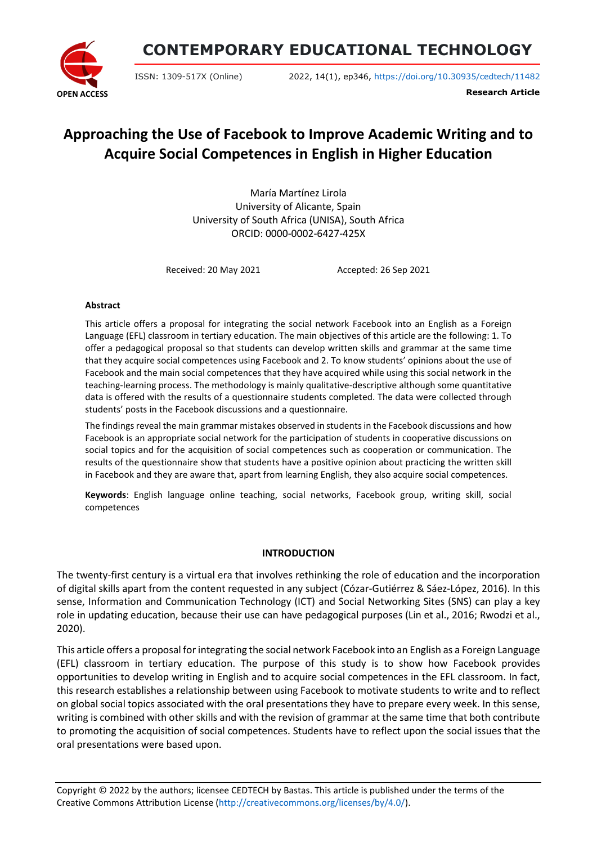

**CONTEMPORARY EDUCATIONAL TECHNOLOGY**

ISSN: 1309-517X (Online) 2022, 14(1), ep346, <https://doi.org/10.30935/cedtech/11482>

**Research Article**

# **Approaching the Use of Facebook to Improve Academic Writing and to Acquire Social Competences in English in Higher Education**

María Martínez Lirola University of Alicante, Spain University of South Africa (UNISA), South Africa ORCID: 0000-0002-6427-425X

Received: 20 May 2021 Accepted: 26 Sep 2021

#### **Abstract**

This article offers a proposal for integrating the social network Facebook into an English as a Foreign Language (EFL) classroom in tertiary education. The main objectives of this article are the following: 1. To offer a pedagogical proposal so that students can develop written skills and grammar at the same time that they acquire social competences using Facebook and 2. To know students' opinions about the use of Facebook and the main social competences that they have acquired while using this social network in the teaching-learning process. The methodology is mainly qualitative-descriptive although some quantitative data is offered with the results of a questionnaire students completed. The data were collected through students' posts in the Facebook discussions and a questionnaire.

The findings reveal the main grammar mistakes observed in students in the Facebook discussions and how Facebook is an appropriate social network for the participation of students in cooperative discussions on social topics and for the acquisition of social competences such as cooperation or communication. The results of the questionnaire show that students have a positive opinion about practicing the written skill in Facebook and they are aware that, apart from learning English, they also acquire social competences.

**Keywords**: English language online teaching, social networks, Facebook group, writing skill, social competences

# **INTRODUCTION**

The twenty-first century is a virtual era that involves rethinking the role of education and the incorporation of digital skills apart from the content requested in any subject (Cózar-Gutiérrez & Sáez-López, 2016). In this sense, Information and Communication Technology (ICT) and Social Networking Sites (SNS) can play a key role in updating education, because their use can have pedagogical purposes (Lin et al., 2016; Rwodzi et al., 2020).

This article offers a proposal for integrating the social network Facebook into an English as a Foreign Language (EFL) classroom in tertiary education. The purpose of this study is to show how Facebook provides opportunities to develop writing in English and to acquire social competences in the EFL classroom. In fact, this research establishes a relationship between using Facebook to motivate students to write and to reflect on global social topics associated with the oral presentations they have to prepare every week. In this sense, writing is combined with other skills and with the revision of grammar at the same time that both contribute to promoting the acquisition of social competences. Students have to reflect upon the social issues that the oral presentations were based upon.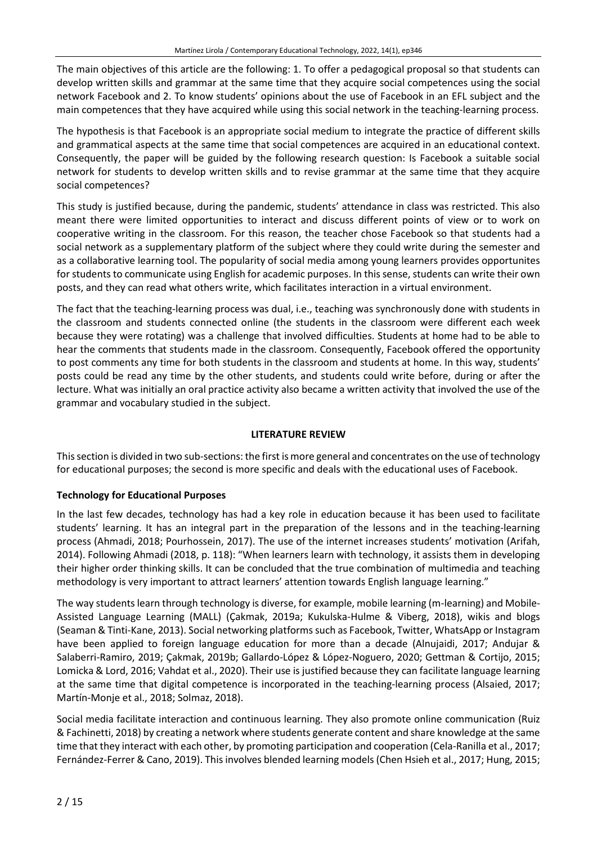The main objectives of this article are the following: 1. To offer a pedagogical proposal so that students can develop written skills and grammar at the same time that they acquire social competences using the social network Facebook and 2. To know students' opinions about the use of Facebook in an EFL subject and the main competences that they have acquired while using this social network in the teaching-learning process.

The hypothesis is that Facebook is an appropriate social medium to integrate the practice of different skills and grammatical aspects at the same time that social competences are acquired in an educational context. Consequently, the paper will be guided by the following research question: Is Facebook a suitable social network for students to develop written skills and to revise grammar at the same time that they acquire social competences?

This study is justified because, during the pandemic, students' attendance in class was restricted. This also meant there were limited opportunities to interact and discuss different points of view or to work on cooperative writing in the classroom. For this reason, the teacher chose Facebook so that students had a social network as a supplementary platform of the subject where they could write during the semester and as a collaborative learning tool. The popularity of social media among young learners provides opportunites for students to communicate using English for academic purposes. In this sense, students can write their own posts, and they can read what others write, which facilitates interaction in a virtual environment.

The fact that the teaching-learning process was dual, i.e., teaching was synchronously done with students in the classroom and students connected online (the students in the classroom were different each week because they were rotating) was a challenge that involved difficulties. Students at home had to be able to hear the comments that students made in the classroom. Consequently, Facebook offered the opportunity to post comments any time for both students in the classroom and students at home. In this way, students' posts could be read any time by the other students, and students could write before, during or after the lecture. What was initially an oral practice activity also became a written activity that involved the use of the grammar and vocabulary studied in the subject.

# **LITERATURE REVIEW**

Thissection is divided in two sub-sections: the first is more general and concentrates on the use of technology for educational purposes; the second is more specific and deals with the educational uses of Facebook.

# **Technology for Educational Purposes**

In the last few decades, technology has had a key role in education because it has been used to facilitate students' learning. It has an integral part in the preparation of the lessons and in the teaching-learning process (Ahmadi, 2018; Pourhossein, 2017). The use of the internet increases students' motivation (Arifah, 2014). Following Ahmadi (2018, p. 118): "When learners learn with technology, it assists them in developing their higher order thinking skills. It can be concluded that the true combination of multimedia and teaching methodology is very important to attract learners' attention towards English language learning."

The way studentslearn through technology is diverse, for example, mobile learning (m-learning) and Mobile-Assisted Language Learning (MALL) (Çakmak, 2019a; Kukulska-Hulme & Viberg, 2018), wikis and blogs (Seaman & Tinti-Kane, 2013). Social networking platformssuch as Facebook, Twitter, WhatsApp or Instagram have been applied to foreign language education for more than a decade (Alnujaidi, 2017; Andujar & Salaberri-Ramiro, 2019; Çakmak, 2019b; Gallardo-López & López-Noguero, 2020; Gettman & Cortijo, 2015; Lomicka & Lord, 2016; Vahdat et al., 2020). Their use is justified because they can facilitate language learning at the same time that digital competence is incorporated in the teaching-learning process (Alsaied, 2017; Martín-Monje et al., 2018; Solmaz, 2018).

Social media facilitate interaction and continuous learning. They also promote online communication (Ruiz & Fachinetti, 2018) by creating a network where students generate content and share knowledge at the same time that they interact with each other, by promoting participation and cooperation (Cela-Ranilla et al., 2017; Fernández-Ferrer & Cano, 2019). This involves blended learning models (Chen Hsieh et al., 2017; Hung, 2015;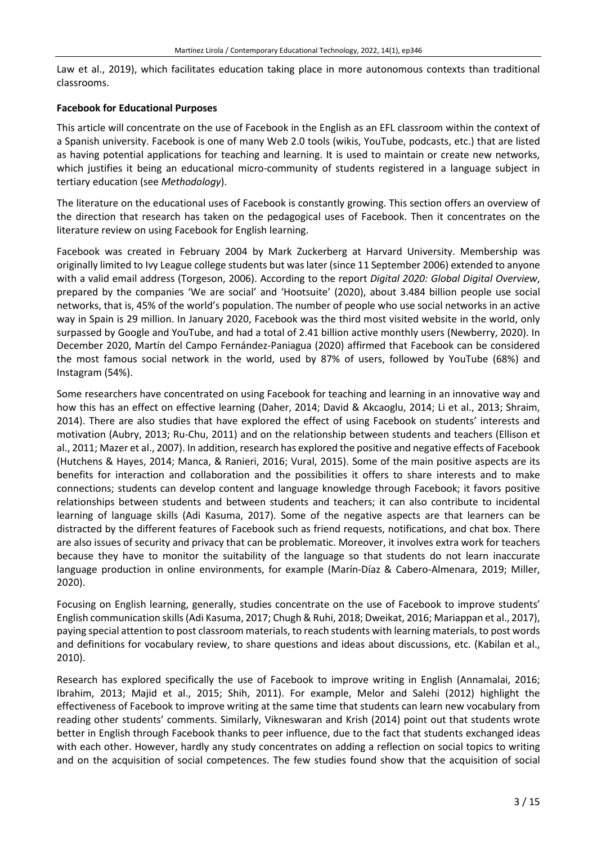Law et al., 2019), which facilitates education taking place in more autonomous contexts than traditional classrooms.

#### **Facebook for Educational Purposes**

This article will concentrate on the use of Facebook in the English as an EFL classroom within the context of a Spanish university. Facebook is one of many Web 2.0 tools (wikis, YouTube, podcasts, etc.) that are listed as having potential applications for teaching and learning. It is used to maintain or create new networks, which justifies it being an educational micro-community of students registered in a language subject in tertiary education (see *Methodology*).

The literature on the educational uses of Facebook is constantly growing. This section offers an overview of the direction that research has taken on the pedagogical uses of Facebook. Then it concentrates on the literature review on using Facebook for English learning.

Facebook was created in February 2004 by Mark Zuckerberg at Harvard University. Membership was originally limited to Ivy League college students but waslater (since 11 September 2006) extended to anyone with a valid email address (Torgeson, 2006). According to the report *Digital 2020: Global Digital Overview*, prepared by the companies 'We are social' and 'Hootsuite' (2020), about 3.484 billion people use social networks, that is, 45% of the world's population. The number of people who use social networks in an active way in Spain is 29 million. In January 2020, Facebook was the third most visited website in the world, only surpassed by Google and YouTube, and had a total of 2.41 billion active monthly users (Newberry, 2020). In December 2020, Martín del Campo Fernández-Paniagua (2020) affirmed that Facebook can be considered the most famous social network in the world, used by 87% of users, followed by YouTube (68%) and Instagram (54%).

Some researchers have concentrated on using Facebook for teaching and learning in an innovative way and how this has an effect on effective learning (Daher, 2014; David & Akcaoglu, 2014; Li et al., 2013; Shraim, 2014). There are also studies that have explored the effect of using Facebook on students' interests and motivation (Aubry, 2013; Ru-Chu, 2011) and on the relationship between students and teachers (Ellison et al., 2011; Mazer et al., 2007). In addition, research has explored the positive and negative effects of Facebook (Hutchens & Hayes, 2014; Manca, & Ranieri, 2016; Vural, 2015). Some of the main positive aspects are its benefits for interaction and collaboration and the possibilities it offers to share interests and to make connections; students can develop content and language knowledge through Facebook; it favors positive relationships between students and between students and teachers; it can also contribute to incidental learning of language skills (Adi Kasuma, 2017). Some of the negative aspects are that learners can be distracted by the different features of Facebook such as friend requests, notifications, and chat box. There are also issues of security and privacy that can be problematic. Moreover, it involves extra work for teachers because they have to monitor the suitability of the language so that students do not learn inaccurate language production in online environments, for example (Marín-Díaz & Cabero-Almenara, 2019; Miller, 2020).

Focusing on English learning, generally, studies concentrate on the use of Facebook to improve students' English communication skills(Adi Kasuma, 2017; Chugh & Ruhi, 2018; Dweikat, 2016; Mariappan et al., 2017), paying special attention to post classroom materials, to reach students with learning materials, to post words and definitions for vocabulary review, to share questions and ideas about discussions, etc. (Kabilan et al., 2010).

Research has explored specifically the use of Facebook to improve writing in English (Annamalai, 2016; Ibrahim, 2013; Majid et al., 2015; Shih, 2011). For example, Melor and Salehi (2012) highlight the effectiveness of Facebook to improve writing at the same time that students can learn new vocabulary from reading other students' comments. Similarly, Vikneswaran and Krish (2014) point out that students wrote better in English through Facebook thanks to peer influence, due to the fact that students exchanged ideas with each other. However, hardly any study concentrates on adding a reflection on social topics to writing and on the acquisition of social competences. The few studies found show that the acquisition of social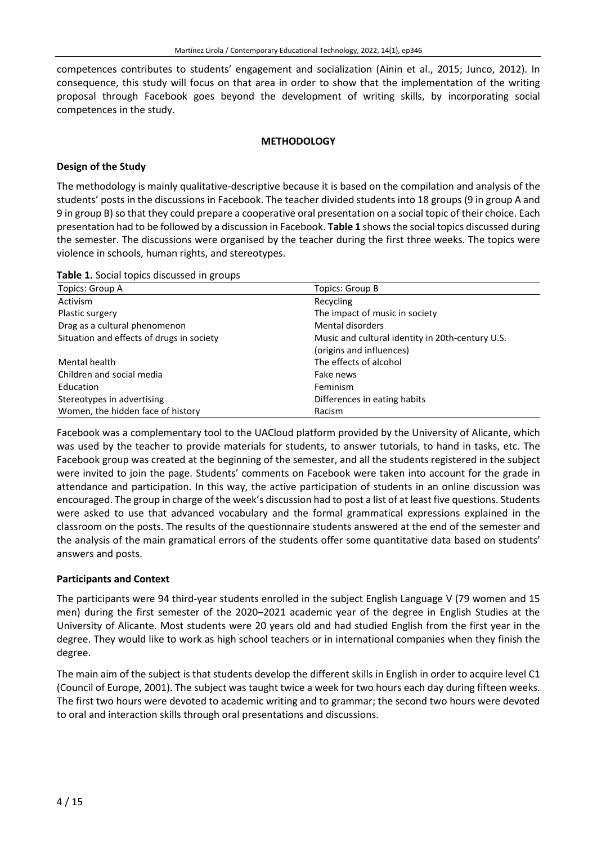competences contributes to students' engagement and socialization (Ainin et al., 2015; Junco, 2012). In consequence, this study will focus on that area in order to show that the implementation of the writing proposal through Facebook goes beyond the development of writing skills, by incorporating social competences in the study.

#### **METHODOLOGY**

# **Design of the Study**

The methodology is mainly qualitative-descriptive because it is based on the compilation and analysis of the students' posts in the discussions in Facebook. The teacher divided students into 18 groups (9 in group A and 9 in group B) so that they could prepare a cooperative oral presentation on a social topic of their choice. Each presentation had to be followed by a discussion in Facebook. **Table 1** showsthe social topics discussed during the semester. The discussions were organised by the teacher during the first three weeks. The topics were violence in schools, human rights, and stereotypes.

| Table 1. Social topics discussed in groups |  |  |  |  |
|--------------------------------------------|--|--|--|--|
|--------------------------------------------|--|--|--|--|

| Topics: Group A                           | Topics: Group B                                  |  |  |
|-------------------------------------------|--------------------------------------------------|--|--|
| Activism                                  | Recycling                                        |  |  |
| Plastic surgery                           | The impact of music in society                   |  |  |
| Drag as a cultural phenomenon             | Mental disorders                                 |  |  |
| Situation and effects of drugs in society | Music and cultural identity in 20th-century U.S. |  |  |
|                                           | (origins and influences)                         |  |  |
| Mental health                             | The effects of alcohol                           |  |  |
| Children and social media                 | Fake news                                        |  |  |
| Education                                 | Feminism                                         |  |  |
| Stereotypes in advertising                | Differences in eating habits                     |  |  |
| Women, the hidden face of history         | Racism                                           |  |  |

Facebook was a complementary tool to the UACloud platform provided by the University of Alicante, which was used by the teacher to provide materials for students, to answer tutorials, to hand in tasks, etc. The Facebook group was created at the beginning of the semester, and all the students registered in the subject were invited to join the page. Students' comments on Facebook were taken into account for the grade in attendance and participation. In this way, the active participation of students in an online discussion was encouraged. The group in charge of the week's discussion had to post a list of at least five questions. Students were asked to use that advanced vocabulary and the formal grammatical expressions explained in the classroom on the posts. The results of the questionnaire students answered at the end of the semester and the analysis of the main gramatical errors of the students offer some quantitative data based on students' answers and posts.

# **Participants and Context**

The participants were 94 third-year students enrolled in the subject English Language V (79 women and 15 men) during the first semester of the 2020–2021 academic year of the degree in English Studies at the University of Alicante. Most students were 20 years old and had studied English from the first year in the degree. They would like to work as high school teachers or in international companies when they finish the degree.

The main aim of the subject is that students develop the different skills in English in order to acquire level C1 (Council of Europe, 2001). The subject was taught twice a week for two hours each day during fifteen weeks. The first two hours were devoted to academic writing and to grammar; the second two hours were devoted to oral and interaction skills through oral presentations and discussions.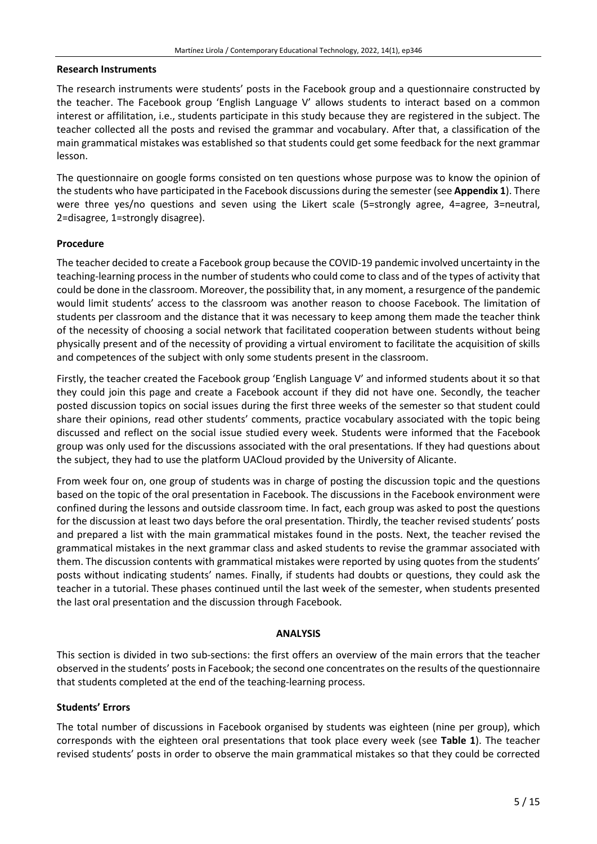#### **Research Instruments**

The research instruments were students' posts in the Facebook group and a questionnaire constructed by the teacher. The Facebook group 'English Language V' allows students to interact based on a common interest or affilitation, i.e., students participate in this study because they are registered in the subject. The teacher collected all the posts and revised the grammar and vocabulary. After that, a classification of the main grammatical mistakes was established so that students could get some feedback for the next grammar lesson.

The questionnaire on google forms consisted on ten questions whose purpose was to know the opinion of the students who have participated in the Facebook discussions during the semester (see **Appendix 1**). There were three yes/no questions and seven using the Likert scale (5=strongly agree, 4=agree, 3=neutral, 2=disagree, 1=strongly disagree).

# **Procedure**

The teacher decided to create a Facebook group because the COVID-19 pandemic involved uncertainty in the teaching-learning process in the number of students who could come to class and of the types of activity that could be done in the classroom. Moreover, the possibility that, in any moment, a resurgence of the pandemic would limit students' access to the classroom was another reason to choose Facebook. The limitation of students per classroom and the distance that it was necessary to keep among them made the teacher think of the necessity of choosing a social network that facilitated cooperation between students without being physically present and of the necessity of providing a virtual enviroment to facilitate the acquisition of skills and competences of the subject with only some students present in the classroom.

Firstly, the teacher created the Facebook group 'English Language V' and informed students about it so that they could join this page and create a Facebook account if they did not have one. Secondly, the teacher posted discussion topics on social issues during the first three weeks of the semester so that student could share their opinions, read other students' comments, practice vocabulary associated with the topic being discussed and reflect on the social issue studied every week. Students were informed that the Facebook group was only used for the discussions associated with the oral presentations. If they had questions about the subject, they had to use the platform UACloud provided by the University of Alicante.

From week four on, one group of students was in charge of posting the discussion topic and the questions based on the topic of the oral presentation in Facebook. The discussions in the Facebook environment were confined during the lessons and outside classroom time. In fact, each group was asked to post the questions for the discussion at least two days before the oral presentation. Thirdly, the teacher revised students' posts and prepared a list with the main grammatical mistakes found in the posts. Next, the teacher revised the grammatical mistakes in the next grammar class and asked students to revise the grammar associated with them. The discussion contents with grammatical mistakes were reported by using quotes from the students' posts without indicating students' names. Finally, if students had doubts or questions, they could ask the teacher in a tutorial. These phases continued until the last week of the semester, when students presented the last oral presentation and the discussion through Facebook.

# **ANALYSIS**

This section is divided in two sub-sections: the first offers an overview of the main errors that the teacher observed in the students' postsin Facebook; the second one concentrates on the results of the questionnaire that students completed at the end of the teaching-learning process.

# **Students' Errors**

The total number of discussions in Facebook organised by students was eighteen (nine per group), which corresponds with the eighteen oral presentations that took place every week (see **Table 1**). The teacher revised students' posts in order to observe the main grammatical mistakes so that they could be corrected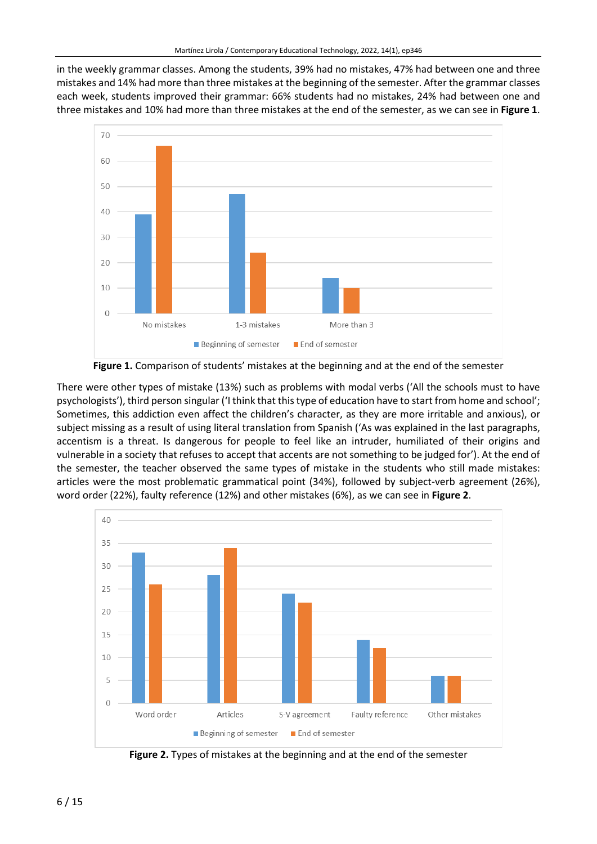in the weekly grammar classes. Among the students, 39% had no mistakes, 47% had between one and three mistakes and 14% had more than three mistakes at the beginning of the semester. After the grammar classes each week, students improved their grammar: 66% students had no mistakes, 24% had between one and three mistakes and 10% had more than three mistakes at the end of the semester, as we can see in **Figure 1**.



**Figure 1.** Comparison of students' mistakes at the beginning and at the end of the semester

There were other types of mistake (13%) such as problems with modal verbs ('All the schools must to have psychologists'), third person singular ('I think that thistype of education have to start from home and school'; Sometimes, this addiction even affect the children's character, as they are more irritable and anxious), or subject missing as a result of using literal translation from Spanish ('As was explained in the last paragraphs, accentism is a threat. Is dangerous for people to feel like an intruder, humiliated of their origins and vulnerable in a society that refuses to accept that accents are not something to be judged for'). At the end of the semester, the teacher observed the same types of mistake in the students who still made mistakes: articles were the most problematic grammatical point (34%), followed by subject-verb agreement (26%), word order (22%), faulty reference (12%) and other mistakes (6%), as we can see in **Figure 2**.



**Figure 2.** Types of mistakes at the beginning and at the end of the semester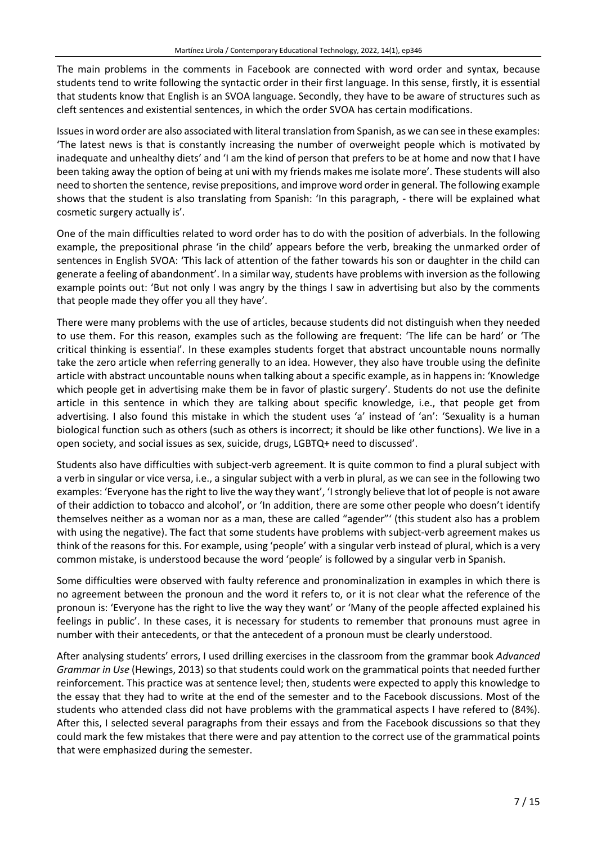The main problems in the comments in Facebook are connected with word order and syntax, because students tend to write following the syntactic order in their first language. In this sense, firstly, it is essential that students know that English is an SVOA language. Secondly, they have to be aware of structures such as cleft sentences and existential sentences, in which the order SVOA has certain modifications.

Issuesin word order are also associated with literal translation from Spanish, as we can see in these examples: 'The latest news is that is constantly increasing the number of overweight people which is motivated by inadequate and unhealthy diets' and 'I am the kind of person that prefers to be at home and now that I have been taking away the option of being at uni with my friends makes me isolate more'. These students will also need to shorten the sentence, revise prepositions, and improve word order in general. The following example shows that the student is also translating from Spanish: 'In this paragraph, - there will be explained what cosmetic surgery actually is'.

One of the main difficulties related to word order has to do with the position of adverbials. In the following example, the prepositional phrase 'in the child' appears before the verb, breaking the unmarked order of sentences in English SVOA: 'This lack of attention of the father towards his son or daughter in the child can generate a feeling of abandonment'. In a similar way, students have problems with inversion asthe following example points out: 'But not only I was angry by the things I saw in advertising but also by the comments that people made they offer you all they have'.

There were many problems with the use of articles, because students did not distinguish when they needed to use them. For this reason, examples such as the following are frequent: 'The life can be hard' or 'The critical thinking is essential'. In these examples students forget that abstract uncountable nouns normally take the zero article when referring generally to an idea. However, they also have trouble using the definite article with abstract uncountable nouns when talking about a specific example, as in happens in: 'Knowledge which people get in advertising make them be in favor of plastic surgery'. Students do not use the definite article in this sentence in which they are talking about specific knowledge, i.e., that people get from advertising. I also found this mistake in which the student uses 'a' instead of 'an': 'Sexuality is a human biological function such as others (such as others is incorrect; it should be like other functions). We live in a open society, and social issues as sex, suicide, drugs, LGBTQ+ need to discussed'.

Students also have difficulties with subject-verb agreement. It is quite common to find a plural subject with a verb in singular or vice versa, i.e., a singular subject with a verb in plural, as we can see in the following two examples: 'Everyone hasthe right to live the way they want', 'Istrongly believe that lot of people is not aware of their addiction to tobacco and alcohol', or 'In addition, there are some other people who doesn't identify themselves neither as a woman nor as a man, these are called "agender"' (this student also has a problem with using the negative). The fact that some students have problems with subject-verb agreement makes us think of the reasons for this. For example, using 'people' with a singular verb instead of plural, which is a very common mistake, is understood because the word 'people' is followed by a singular verb in Spanish.

Some difficulties were observed with faulty reference and pronominalization in examples in which there is no agreement between the pronoun and the word it refers to, or it is not clear what the reference of the pronoun is: 'Everyone has the right to live the way they want' or 'Many of the people affected explained his feelings in public'. In these cases, it is necessary for students to remember that pronouns must agree in number with their antecedents, or that the antecedent of a pronoun must be clearly understood.

After analysing students' errors, I used drilling exercises in the classroom from the grammar book *Advanced Grammar in Use* (Hewings, 2013) so that students could work on the grammatical points that needed further reinforcement. This practice was at sentence level; then, students were expected to apply this knowledge to the essay that they had to write at the end of the semester and to the Facebook discussions. Most of the students who attended class did not have problems with the grammatical aspects I have refered to (84%). After this, I selected several paragraphs from their essays and from the Facebook discussions so that they could mark the few mistakes that there were and pay attention to the correct use of the grammatical points that were emphasized during the semester.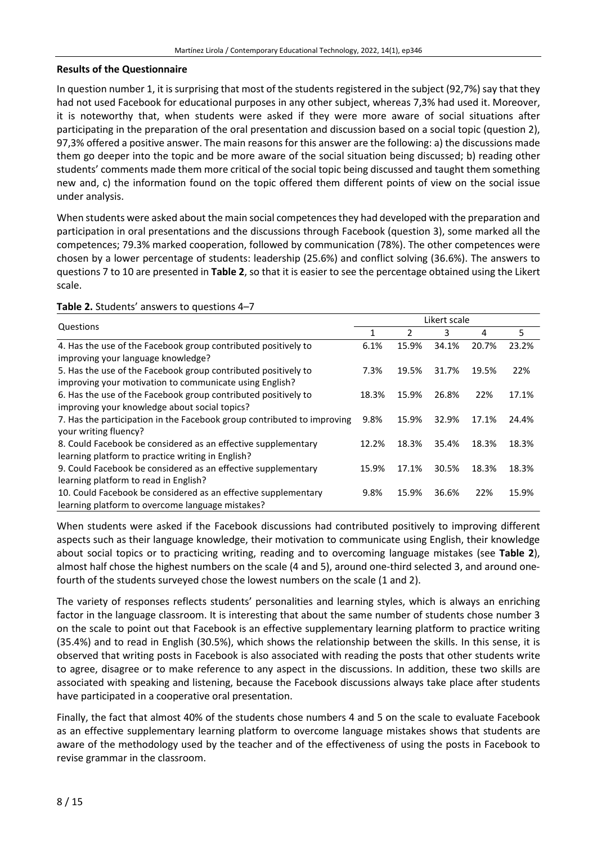#### **Results of the Questionnaire**

In question number 1, it is surprising that most of the students registered in the subject (92,7%) say that they had not used Facebook for educational purposes in any other subject, whereas 7,3% had used it. Moreover, it is noteworthy that, when students were asked if they were more aware of social situations after participating in the preparation of the oral presentation and discussion based on a social topic (question 2), 97,3% offered a positive answer. The main reasons for this answer are the following: a) the discussions made them go deeper into the topic and be more aware of the social situation being discussed; b) reading other students' comments made them more critical of the social topic being discussed and taught them something new and, c) the information found on the topic offered them different points of view on the social issue under analysis.

When students were asked about the main social competences they had developed with the preparation and participation in oral presentations and the discussions through Facebook (question 3), some marked all the competences; 79.3% marked cooperation, followed by communication (78%). The other competences were chosen by a lower percentage of students: leadership (25.6%) and conflict solving (36.6%). The answers to questions 7 to 10 are presented in **Table 2**, so that it is easier to see the percentage obtained using the Likert scale.

| $\frac{1}{2}$                                                           |              |       |       |       |       |  |
|-------------------------------------------------------------------------|--------------|-------|-------|-------|-------|--|
|                                                                         | Likert scale |       |       |       |       |  |
| Questions                                                               |              | 2     | 3     | 4     | 5     |  |
| 4. Has the use of the Facebook group contributed positively to          | 6.1%         | 15.9% | 34.1% | 20.7% | 23.2% |  |
| improving your language knowledge?                                      |              |       |       |       |       |  |
| 5. Has the use of the Facebook group contributed positively to          | 7.3%         | 19.5% | 31.7% | 19.5% | 22%   |  |
| improving your motivation to communicate using English?                 |              |       |       |       |       |  |
| 6. Has the use of the Facebook group contributed positively to          | 18.3%        | 15.9% | 26.8% | 22%   | 17.1% |  |
| improving your knowledge about social topics?                           |              |       |       |       |       |  |
| 7. Has the participation in the Facebook group contributed to improving | 9.8%         | 15.9% | 32.9% | 17.1% | 24.4% |  |
| your writing fluency?                                                   |              |       |       |       |       |  |
| 8. Could Facebook be considered as an effective supplementary           | 12.2%        | 18.3% | 35.4% | 18.3% | 18.3% |  |
| learning platform to practice writing in English?                       |              |       |       |       |       |  |
| 9. Could Facebook be considered as an effective supplementary           | 15.9%        | 17.1% | 30.5% | 18.3% | 18.3% |  |
| learning platform to read in English?                                   |              |       |       |       |       |  |
| 10. Could Facebook be considered as an effective supplementary          | 9.8%         | 15.9% | 36.6% | 22%   | 15.9% |  |
| learning platform to overcome language mistakes?                        |              |       |       |       |       |  |

#### **Table 2.** Students' answers to questions 4–7

When students were asked if the Facebook discussions had contributed positively to improving different aspects such as their language knowledge, their motivation to communicate using English, their knowledge about social topics or to practicing writing, reading and to overcoming language mistakes (see **Table 2**), almost half chose the highest numbers on the scale (4 and 5), around one-third selected 3, and around onefourth of the students surveyed chose the lowest numbers on the scale (1 and 2).

The variety of responses reflects students' personalities and learning styles, which is always an enriching factor in the language classroom. It is interesting that about the same number of students chose number 3 on the scale to point out that Facebook is an effective supplementary learning platform to practice writing (35.4%) and to read in English (30.5%), which shows the relationship between the skills. In this sense, it is observed that writing posts in Facebook is also associated with reading the posts that other students write to agree, disagree or to make reference to any aspect in the discussions. In addition, these two skills are associated with speaking and listening, because the Facebook discussions always take place after students have participated in a cooperative oral presentation.

Finally, the fact that almost 40% of the students chose numbers 4 and 5 on the scale to evaluate Facebook as an effective supplementary learning platform to overcome language mistakes shows that students are aware of the methodology used by the teacher and of the effectiveness of using the posts in Facebook to revise grammar in the classroom.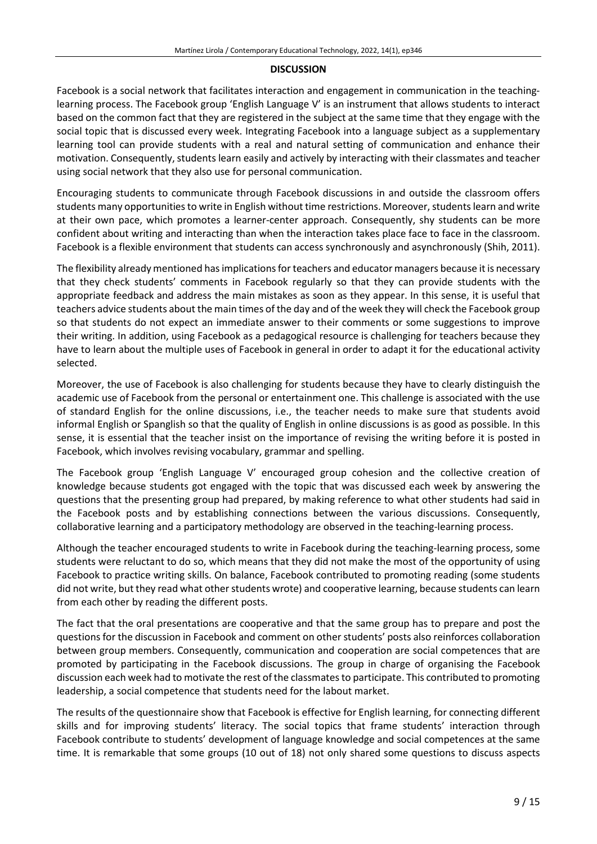#### **DISCUSSION**

Facebook is a social network that facilitates interaction and engagement in communication in the teachinglearning process. The Facebook group 'English Language V' is an instrument that allows students to interact based on the common fact that they are registered in the subject at the same time that they engage with the social topic that is discussed every week. Integrating Facebook into a language subject as a supplementary learning tool can provide students with a real and natural setting of communication and enhance their motivation. Consequently, students learn easily and actively by interacting with their classmates and teacher using social network that they also use for personal communication.

Encouraging students to communicate through Facebook discussions in and outside the classroom offers students many opportunities to write in English without time restrictions. Moreover, students learn and write at their own pace, which promotes a learner-center approach. Consequently, shy students can be more confident about writing and interacting than when the interaction takes place face to face in the classroom. Facebook is a flexible environment that students can access synchronously and asynchronously (Shih, 2011).

The flexibility already mentioned has implications for teachers and educator managers because it is necessary that they check students' comments in Facebook regularly so that they can provide students with the appropriate feedback and address the main mistakes as soon as they appear. In this sense, it is useful that teachers advice students about the main times of the day and of the week they will check the Facebook group so that students do not expect an immediate answer to their comments or some suggestions to improve their writing. In addition, using Facebook as a pedagogical resource is challenging for teachers because they have to learn about the multiple uses of Facebook in general in order to adapt it for the educational activity selected.

Moreover, the use of Facebook is also challenging for students because they have to clearly distinguish the academic use of Facebook from the personal or entertainment one. This challenge is associated with the use of standard English for the online discussions, i.e., the teacher needs to make sure that students avoid informal English or Spanglish so that the quality of English in online discussions is as good as possible. In this sense, it is essential that the teacher insist on the importance of revising the writing before it is posted in Facebook, which involves revising vocabulary, grammar and spelling.

The Facebook group 'English Language V' encouraged group cohesion and the collective creation of knowledge because students got engaged with the topic that was discussed each week by answering the questions that the presenting group had prepared, by making reference to what other students had said in the Facebook posts and by establishing connections between the various discussions. Consequently, collaborative learning and a participatory methodology are observed in the teaching-learning process.

Although the teacher encouraged students to write in Facebook during the teaching-learning process, some students were reluctant to do so, which means that they did not make the most of the opportunity of using Facebook to practice writing skills. On balance, Facebook contributed to promoting reading (some students did not write, but they read what other students wrote) and cooperative learning, because students can learn from each other by reading the different posts.

The fact that the oral presentations are cooperative and that the same group has to prepare and post the questions for the discussion in Facebook and comment on other students' posts also reinforces collaboration between group members. Consequently, communication and cooperation are social competences that are promoted by participating in the Facebook discussions. The group in charge of organising the Facebook discussion each week had to motivate the rest of the classmatesto participate. This contributed to promoting leadership, a social competence that students need for the labout market.

The results of the questionnaire show that Facebook is effective for English learning, for connecting different skills and for improving students' literacy. The social topics that frame students' interaction through Facebook contribute to students' development of language knowledge and social competences at the same time. It is remarkable that some groups (10 out of 18) not only shared some questions to discuss aspects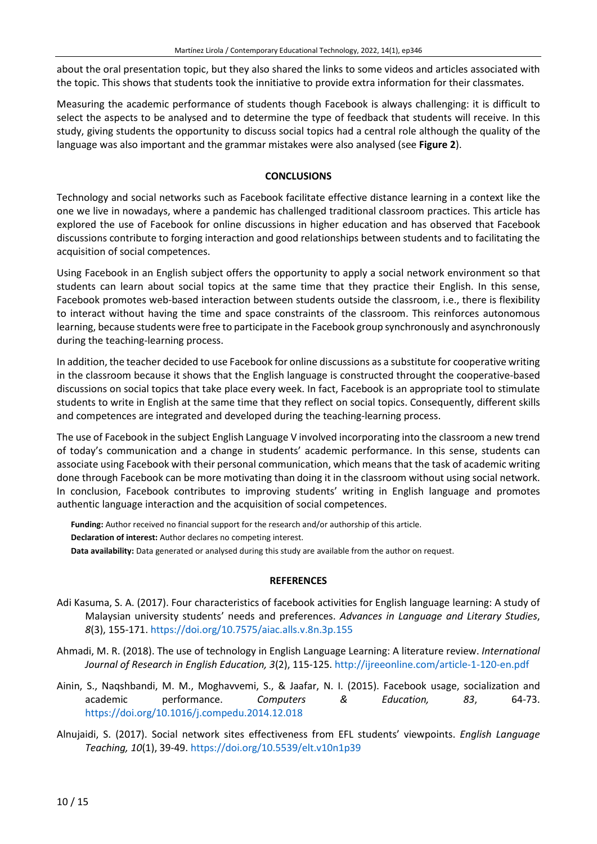about the oral presentation topic, but they also shared the links to some videos and articles associated with the topic. This shows that students took the innitiative to provide extra information for their classmates.

Measuring the academic performance of students though Facebook is always challenging: it is difficult to select the aspects to be analysed and to determine the type of feedback that students will receive. In this study, giving students the opportunity to discuss social topics had a central role although the quality of the language was also important and the grammar mistakes were also analysed (see **Figure 2**).

# **CONCLUSIONS**

Technology and social networks such as Facebook facilitate effective distance learning in a context like the one we live in nowadays, where a pandemic has challenged traditional classroom practices. This article has explored the use of Facebook for online discussions in higher education and has observed that Facebook discussions contribute to forging interaction and good relationships between students and to facilitating the acquisition of social competences.

Using Facebook in an English subject offers the opportunity to apply a social network environment so that students can learn about social topics at the same time that they practice their English. In this sense, Facebook promotes web-based interaction between students outside the classroom, i.e., there is flexibility to interact without having the time and space constraints of the classroom. This reinforces autonomous learning, because students were free to participate in the Facebook group synchronously and asynchronously during the teaching-learning process.

In addition, the teacher decided to use Facebook for online discussions as a substitute for cooperative writing in the classroom because it shows that the English language is constructed throught the cooperative-based discussions on social topics that take place every week. In fact, Facebook is an appropriate tool to stimulate students to write in English at the same time that they reflect on social topics. Consequently, different skills and competences are integrated and developed during the teaching-learning process.

The use of Facebook in the subject English Language V involved incorporating into the classroom a new trend of today's communication and a change in students' academic performance. In this sense, students can associate using Facebook with their personal communication, which meansthat the task of academic writing done through Facebook can be more motivating than doing it in the classroom without using social network. In conclusion, Facebook contributes to improving students' writing in English language and promotes authentic language interaction and the acquisition of social competences.

**Funding:** Author received no financial support for the research and/or authorship of this article. **Declaration of interest:** Author declares no competing interest. **Data availability:** Data generated or analysed during this study are available from the author on request.

#### **REFERENCES**

- Adi Kasuma, S. A. (2017). Four characteristics of facebook activities for English language learning: A study of Malaysian university students' needs and preferences. *Advances in Language and Literary Studies*, *8*(3), 155-171. <https://doi.org/10.7575/aiac.alls.v.8n.3p.155>
- Ahmadi, M. R. (2018). The use of technology in English Language Learning: A literature review. *International Journal of Research in English Education, 3*(2), 115-125. <http://ijreeonline.com/article-1-120-en.pdf>
- Ainin, S., Naqshbandi, M. M., Moghavvemi, S., & Jaafar, N. I. (2015). Facebook usage, socialization and academic performance. *Computers & Education, 83*, 64-73. <https://doi.org/10.1016/j.compedu.2014.12.018>
- Alnujaidi, S. (2017). Social network sites effectiveness from EFL students' viewpoints. *English Language Teaching, 10*(1), 39-49. <https://doi.org/10.5539/elt.v10n1p39>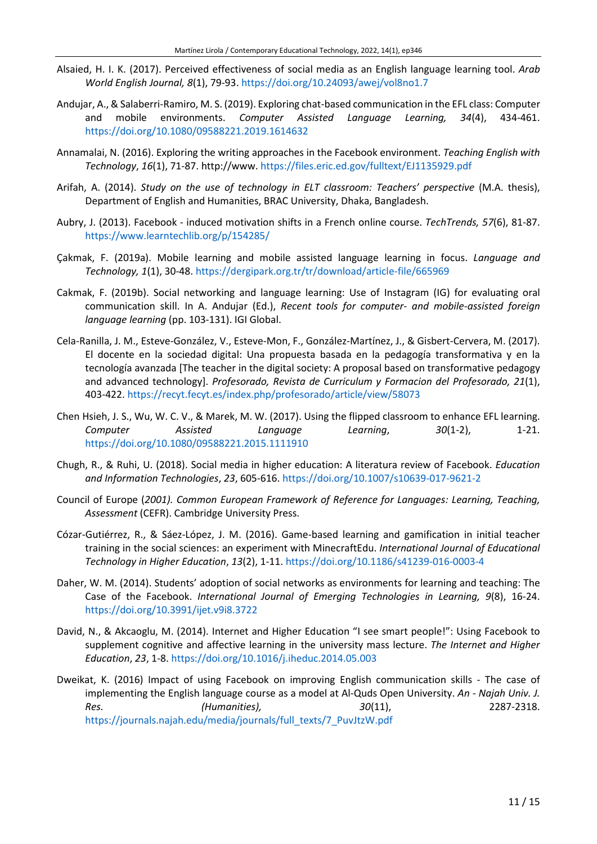- Alsaied, H. I. K. (2017). Perceived effectiveness of social media as an English language learning tool. *Arab World English Journal, 8*(1), 79-93. <https://doi.org/10.24093/awej/vol8no1.7>
- Andujar, A., & Salaberri-Ramiro, M. S. (2019). Exploring chat-based communication in the EFL class: Computer and mobile environments. *Computer Assisted Language Learning, 34*(4), 434-461. <https://doi.org/10.1080/09588221.2019.1614632>
- Annamalai, N. (2016). Exploring the writing approaches in the Facebook environment. *Teaching English with Technology*, *16*(1), 71-87. http://www. <https://files.eric.ed.gov/fulltext/EJ1135929.pdf>
- Arifah, A. (2014). *Study on the use of technology in ELT classroom: Teachers' perspective* (M.A. thesis), Department of English and Humanities, BRAC University, Dhaka, Bangladesh.
- Aubry, J. (2013). Facebook induced motivation shifts in a French online course. *TechTrends, 57*(6), 81-87. <https://www.learntechlib.org/p/154285/>
- Çakmak, F. (2019a). Mobile learning and mobile assisted language learning in focus. *Language and Technology, 1*(1), 30-48. <https://dergipark.org.tr/tr/download/article-file/665969>
- Cakmak, F. (2019b). Social networking and language learning: Use of Instagram (IG) for evaluating oral communication skill. In A. Andujar (Ed.), *Recent tools for computer- and mobile-assisted foreign language learning* (pp. 103-131). IGI Global.
- Cela-Ranilla, J. M., Esteve-González, V., Esteve-Mon, F., González-Martínez, J., & Gisbert-Cervera, M. (2017). El docente en la sociedad digital: Una propuesta basada en la pedagogía transformativa y en la tecnología avanzada [The teacher in the digital society: A proposal based on transformative pedagogy and advanced technology]. *Profesorado, Revista de Curriculum y Formacion del Profesorado, 21*(1), 403-422. <https://recyt.fecyt.es/index.php/profesorado/article/view/58073>
- Chen Hsieh, J. S., Wu, W. C. V., & Marek, M. W. (2017). Using the flipped classroom to enhance EFL learning. *Computer Assisted Language Learning*, *30*(1-2), 1-21. <https://doi.org/10.1080/09588221.2015.1111910>
- Chugh, R., & Ruhi, U. (2018). Social media in higher education: A literatura review of Facebook. *Education and Information Technologies*, *23*, 605-616. <https://doi.org/10.1007/s10639-017-9621-2>
- Council of Europe (*2001). Common European Framework of Reference for Languages: Learning, Teaching, Assessment* (CEFR). Cambridge University Press.
- Cózar-Gutiérrez, R., & Sáez-López, J. M. (2016). Game-based learning and gamification in initial teacher training in the social sciences: an experiment with MinecraftEdu. *International Journal of Educational Technology in Higher Education*, *13*(2), 1-11. <https://doi.org/10.1186/s41239-016-0003-4>
- Daher, W. M. (2014). Students' adoption of social networks as environments for learning and teaching: The Case of the Facebook. *International Journal of Emerging Technologies in Learning, 9*(8), 16-24. <https://doi.org/10.3991/ijet.v9i8.3722>
- David, N., & Akcaoglu, M. (2014). Internet and Higher Education "I see smart people!": Using Facebook to supplement cognitive and affective learning in the university mass lecture. *The Internet and Higher Education*, *23*, 1-8. <https://doi.org/10.1016/j.iheduc.2014.05.003>
- Dweikat, K. (2016) Impact of using Facebook on improving English communication skills The case of implementing the English language course as a model at Al-Quds Open University. *An - Najah Univ. J. Res. (Humanities), 30*(11), 2287-2318. [https://journals.najah.edu/media/journals/full\\_texts/7\\_PuvJtzW.pdf](https://journals.najah.edu/media/journals/full_texts/7_PuvJtzW.pdf)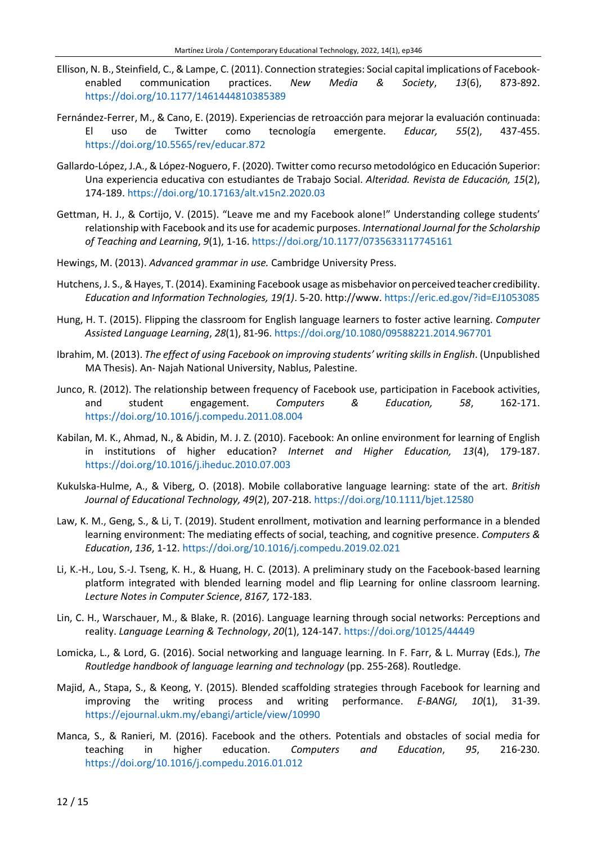- Ellison, N. B., Steinfield, C.,& Lampe, C. (2011). Connection strategies: Social capital implications of Facebookenabled communication practices. *New Media & Society*, *13*(6), 873-892. <https://doi.org/10.1177/1461444810385389>
- Fernández-Ferrer, M., & Cano, E. (2019). Experiencias de retroacción para mejorar la evaluación continuada: El uso de Twitter como tecnología emergente. *Educar, 55*(2), 437-455. <https://doi.org/10.5565/rev/educar.872>
- Gallardo-López, J.A., & López-Noguero, F. (2020). Twitter como recurso metodológico en Educación Superior: Una experiencia educativa con estudiantes de Trabajo Social. *Alteridad. Revista de Educación, 15*(2), 174-189. <https://doi.org/10.17163/alt.v15n2.2020.03>
- Gettman, H. J., & Cortijo, V. (2015). "Leave me and my Facebook alone!" Understanding college students' relationship with Facebook and its use for academic purposes. *International Journal for the Scholarship of Teaching and Learning*, *9*(1), 1-16. <https://doi.org/10.1177/0735633117745161>
- Hewings, M. (2013). *Advanced grammar in use.* Cambridge University Press.
- Hutchens, J. S., & Hayes, T. (2014). Examining Facebook usage as misbehavior on perceived teacher credibility. *Education and Information Technologies, 19(1)*. 5-20. http://www. <https://eric.ed.gov/?id=EJ1053085>
- Hung, H. T. (2015). Flipping the classroom for English language learners to foster active learning. *Computer Assisted Language Learning*, *28*(1), 81-96. <https://doi.org/10.1080/09588221.2014.967701>
- Ibrahim, M. (2013). *The effect of using Facebook on improving students' writing skillsin English*. (Unpublished MA Thesis). An- Najah National University, Nablus, Palestine.
- Junco, R. (2012). The relationship between frequency of Facebook use, participation in Facebook activities, and student engagement. *Computers & Education, 58*, 162-171. <https://doi.org/10.1016/j.compedu.2011.08.004>
- Kabilan, M. K., Ahmad, N., & Abidin, M. J. Z. (2010). Facebook: An online environment for learning of English in institutions of higher education? *Internet and Higher Education, 13*(4), 179-187. <https://doi.org/10.1016/j.iheduc.2010.07.003>
- Kukulska-Hulme, A., & Viberg, O. (2018). Mobile collaborative language learning: state of the art. *British Journal of Educational Technology, 49*(2), 207-218. <https://doi.org/10.1111/bjet.12580>
- Law, K. M., Geng, S., & Li, T. (2019). Student enrollment, motivation and learning performance in a blended learning environment: The mediating effects of social, teaching, and cognitive presence. *Computers & Education*, *136*, 1-12. <https://doi.org/10.1016/j.compedu.2019.02.021>
- Li, K.-H., Lou, S.-J. Tseng, K. H., & Huang, H. C. (2013). A preliminary study on the Facebook-based learning platform integrated with blended learning model and flip Learning for online classroom learning. *Lecture Notes in Computer Science*, *8167,* 172-183.
- Lin, C. H., Warschauer, M., & Blake, R. (2016). Language learning through social networks: Perceptions and reality. *Language Learning & Technology*, *20*(1), 124-147. <https://doi.org/10125/44449>
- Lomicka, L., & Lord, G. (2016). Social networking and language learning. In F. Farr, & L. Murray (Eds.), *The Routledge handbook of language learning and technology* (pp. 255-268). Routledge.
- Majid, A., Stapa, S., & Keong, Y. (2015). Blended scaffolding strategies through Facebook for learning and improving the writing process and writing performance. *E-BANGI, 10*(1), 31-39. <https://ejournal.ukm.my/ebangi/article/view/10990>
- Manca, S., & Ranieri, M. (2016). Facebook and the others. Potentials and obstacles of social media for teaching in higher education. *Computers and Education*, *95*, 216-230. <https://doi.org/10.1016/j.compedu.2016.01.012>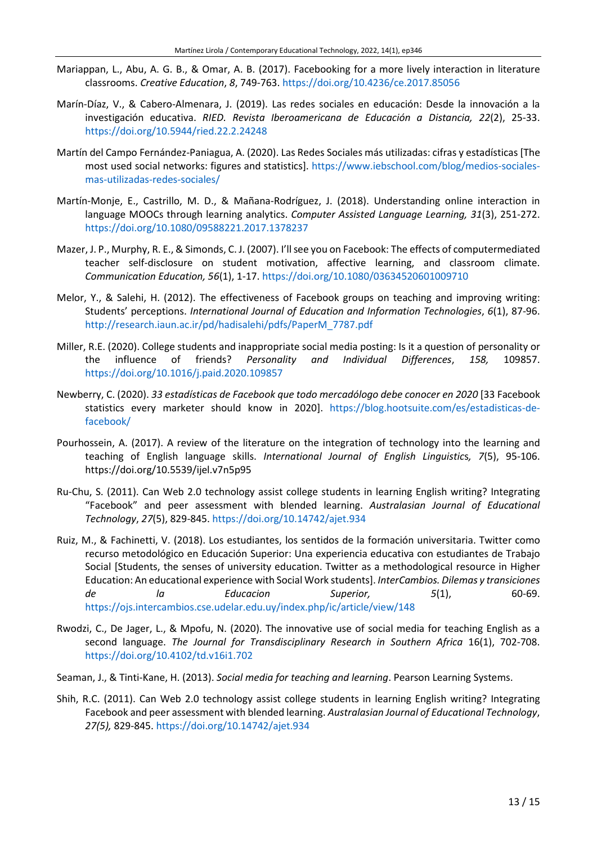- Mariappan, L., Abu, A. G. B., & Omar, A. B. (2017). Facebooking for a more lively interaction in literature classrooms. *Creative Education*, *8*, 749-763. <https://doi.org/10.4236/ce.2017.85056>
- Marín-Díaz, V., & Cabero-Almenara, J. (2019). Las redes sociales en educación: Desde la innovación a la investigación educativa. *RIED. Revista Iberoamericana de Educación a Distancia, 22*(2), 25-33. <https://doi.org/10.5944/ried.22.2.24248>
- Martín del Campo Fernández-Paniagua, A. (2020). Las Redes Sociales más utilizadas: cifras y estadísticas[The most used social networks: figures and statistics]. [https://www.iebschool.com/blog/medios-sociales](https://www.iebschool.com/blog/medios-sociales-mas-utilizadas-redes-sociales/)[mas-utilizadas-redes-sociales/](https://www.iebschool.com/blog/medios-sociales-mas-utilizadas-redes-sociales/)
- Martín-Monje, E., Castrillo, M. D., & Mañana-Rodríguez, J. (2018). Understanding online interaction in language MOOCs through learning analytics. *Computer Assisted Language Learning, 31*(3), 251-272. <https://doi.org/10.1080/09588221.2017.1378237>
- Mazer, J. P., Murphy, R. E., & Simonds, C. J. (2007). I'llsee you on Facebook: The effects of computermediated teacher self-disclosure on student motivation, affective learning, and classroom climate. *Communication Education, 56*(1), 1-17. <https://doi.org/10.1080/03634520601009710>
- Melor, Y., & Salehi, H. (2012). The effectiveness of Facebook groups on teaching and improving writing: Students' perceptions. *International Journal of Education and Information Technologies*, *6*(1), 87-96. [http://research.iaun.ac.ir/pd/hadisalehi/pdfs/PaperM\\_7787.pdf](http://research.iaun.ac.ir/pd/hadisalehi/pdfs/PaperM_7787.pdf)
- Miller, R.E. (2020). College students and inappropriate social media posting: Is it a question of personality or the influence of friends? *Personality and Individual Differences*, *158,* 109857. <https://doi.org/10.1016/j.paid.2020.109857>
- Newberry, C. (2020). *33 estadísticas de Facebook que todo mercadólogo debe conocer en 2020* [33 Facebook statistics every marketer should know in 2020]. [https://blog.hootsuite.com/es/estadisticas-de](https://blog.hootsuite.com/es/estadisticas-de-facebook/)[facebook/](https://blog.hootsuite.com/es/estadisticas-de-facebook/)
- Pourhossein, A. (2017). A review of the literature on the integration of technology into the learning and teaching of English language skills. *International Journal of English Linguistic*s*, 7*(5), 95-106. https://doi.org/10.5539/ijel.v7n5p95
- Ru-Chu, S. (2011). Can Web 2.0 technology assist college students in learning English writing? Integrating "Facebook" and peer assessment with blended learning. *Australasian Journal of Educational Technology*, *27*(5), 829-845. <https://doi.org/10.14742/ajet.934>
- Ruiz, M., & Fachinetti, V. (2018). Los estudiantes, los sentidos de la formación universitaria. Twitter como recurso metodológico en Educación Superior: Una experiencia educativa con estudiantes de Trabajo Social [Students, the senses of university education. Twitter as a methodological resource in Higher Education: An educational experience with Social Work students]. *InterCambios. Dilemas y transiciones de la Educacion Superior, 5*(1), 60-69. <https://ojs.intercambios.cse.udelar.edu.uy/index.php/ic/article/view/148>
- Rwodzi, C., De Jager, L., & Mpofu, N. (2020). The innovative use of social media for teaching English as a second language. *The Journal for Transdisciplinary Research in Southern Africa* 16(1), 702-708. <https://doi.org/10.4102/td.v16i1.702>
- Seaman, J., & Tinti-Kane, H. (2013). *Social media for teaching and learning*. Pearson Learning Systems.
- Shih, R.C. (2011). Can Web 2.0 technology assist college students in learning English writing? Integrating Facebook and peer assessment with blended learning. *Australasian Journal of Educational Technology*, *27(5),* 829-845. <https://doi.org/10.14742/ajet.934>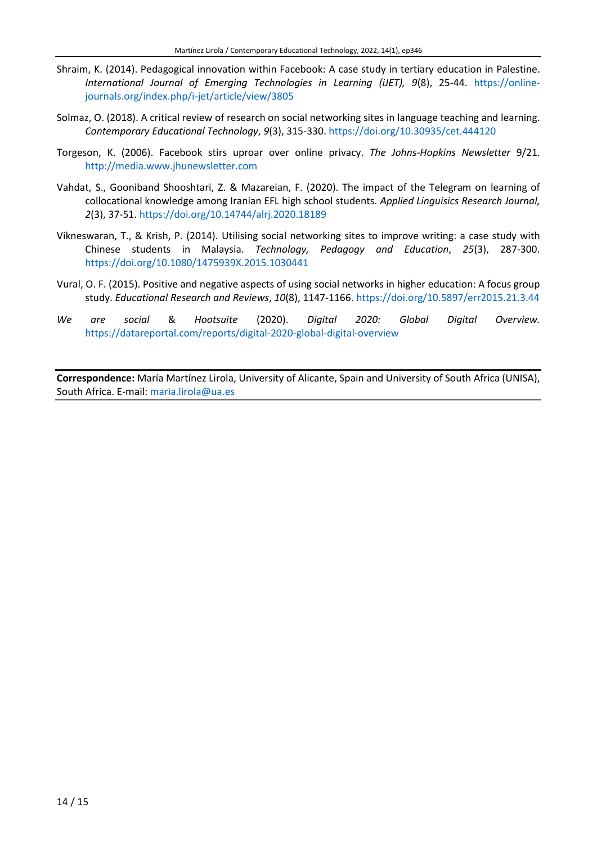- Shraim, K. (2014). Pedagogical innovation within Facebook: A case study in tertiary education in Palestine. *International Journal of Emerging Technologies in Learning (iJET), 9*(8), 25-44. [https://online](https://online-journals.org/index.php/i-jet/article/view/3805)[journals.org/index.php/i-jet/article/view/3805](https://online-journals.org/index.php/i-jet/article/view/3805)
- Solmaz, O. (2018). A critical review of research on social networking sites in language teaching and learning. *Contemporary Educational Technology*, *9*(3), 315-330. <https://doi.org/10.30935/cet.444120>
- Torgeson, K. (2006). Facebook stirs uproar over online privacy. *The Johns-Hopkins Newsletter* 9/21. [http://media.www.jhunewsletter.com](http://media.www.jhunewsletter.com/)
- Vahdat, S., Gooniband Shooshtari, Z. & Mazareian, F. (2020). The impact of the Telegram on learning of collocational knowledge among Iranian EFL high school students. *Applied Linguisics Research Journal, 2*(3), 37-51. <https://doi.org/10.14744/alrj.2020.18189>
- Vikneswaran, T., & Krish, P. (2014). Utilising social networking sites to improve writing: a case study with Chinese students in Malaysia. *Technology, Pedagogy and Education*, *25*(3), 287-300. <https://doi.org/10.1080/1475939X.2015.1030441>
- Vural, O. F. (2015). Positive and negative aspects of using social networks in higher education: A focus group study. *Educational Research and Reviews*, *10*(8), 1147-1166. <https://doi.org/10.5897/err2015.21.3.44>
- *We are social* & *Hootsuite* (2020). *Digital 2020: Global Digital Overview.* <https://datareportal.com/reports/digital-2020-global-digital-overview>

**Correspondence:** María Martínez Lirola, University of Alicante, Spain and University of South Africa (UNISA), South Africa. E-mail: [maria.lirola@ua.es](mailto:maria.lirola@ua.es)